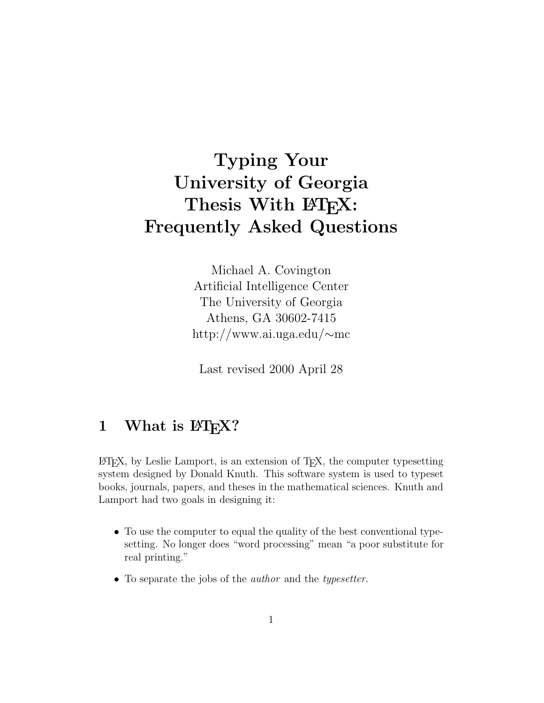# **Typing Your University of Georgia** Thesis With  $\text{ETr}X$ : **Frequently Asked Questions**

Michael A. Covington Artificial Intelligence Center The University of Georgia Athens, GA 30602-7415 http://www.ai.uga.edu/∼mc

Last revised 2000 April 28

## 1 What is  $\text{MT}_E X$ ?

 $\Delta E$ FIFX, by Leslie Lamport, is an extension of TFX, the computer typesetting system designed by Donald Knuth. This software system is used to typeset books, journals, papers, and theses in the mathematical sciences. Knuth and Lamport had two goals in designing it:

- To use the computer to equal the quality of the best conventional typesetting. No longer does "word processing" mean "a poor substitute for real printing."
- To separate the jobs of the *author* and the *typesetter*.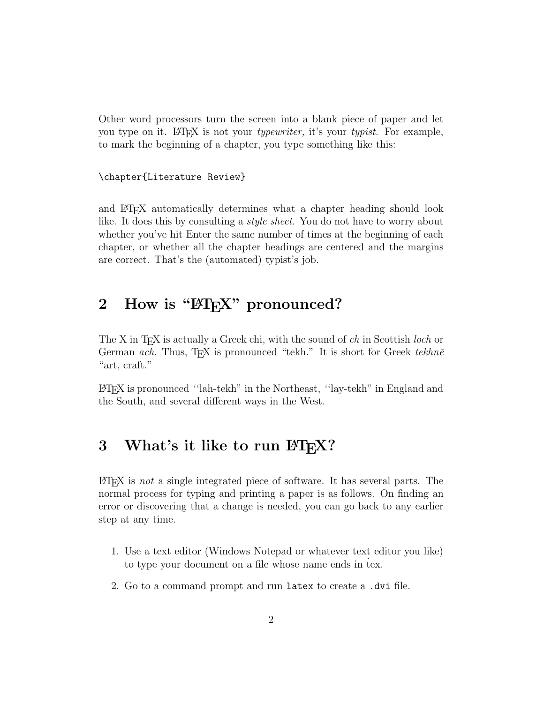Other word processors turn the screen into a blank piece of paper and let you type on it. LATEX is not your *typewriter*, it's your *typist*. For example, to mark the beginning of a chapter, you type something like this:

\chapter{Literature Review}

and LATEX automatically determines what a chapter heading should look like. It does this by consulting a style sheet. You do not have to worry about whether you've hit Enter the same number of times at the beginning of each chapter, or whether all the chapter headings are centered and the margins are correct. That's the (automated) typist's job.

## 2 How is "PFRX" pronounced?

The X in T<sub>E</sub>X is actually a Greek chi, with the sound of  $ch$  in Scottish *loch* or German ach. Thus, T<sub>E</sub>X is pronounced "tekh." It is short for Greek tekhne "art, craft."

LATEX is pronounced ''lah-tekh" in the Northeast, ''lay-tekh" in England and the South, and several different ways in the West.

## **3** What's it like to run  $\text{MTF}X$ ?

 $\Delta E$ T<sub>EX</sub> is not a single integrated piece of software. It has several parts. The normal process for typing and printing a paper is as follows. On finding an error or discovering that a change is needed, you can go back to any earlier step at any time.

- 1. Use a text editor (Windows Notepad or whatever text editor you like) to type your document on a file whose name ends in tex.
- 2. Go to a command prompt and run latex to create a .dvi file.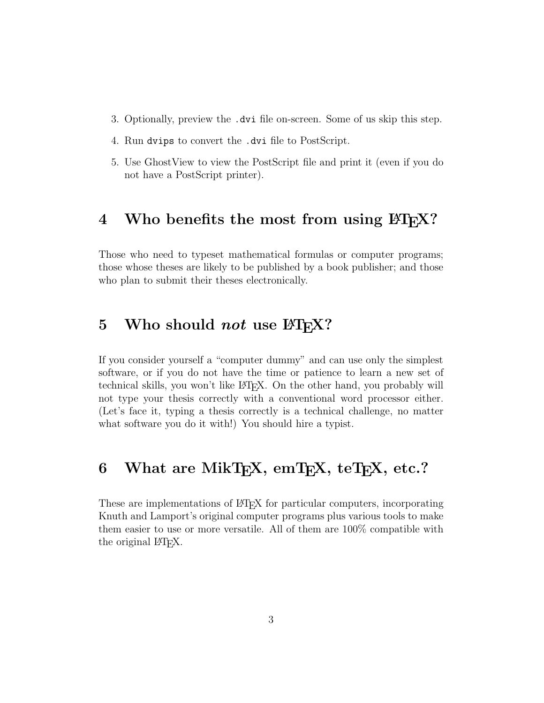- 3. Optionally, preview the .dvi file on-screen. Some of us skip this step.
- 4. Run dvips to convert the .dvi file to PostScript.
- 5. Use GhostView to view the PostScript file and print it (even if you do not have a PostScript printer).

#### 4 Who benefits the most from using  $\text{ETr}X$ ?

Those who need to typeset mathematical formulas or computer programs; those whose theses are likely to be published by a book publisher; and those who plan to submit their theses electronically.

#### **5** Who should *not* use  $\text{ETr}X$ ?

If you consider yourself a "computer dummy" and can use only the simplest software, or if you do not have the time or patience to learn a new set of technical skills, you won't like LATEX. On the other hand, you probably will not type your thesis correctly with a conventional word processor either. (Let's face it, typing a thesis correctly is a technical challenge, no matter what software you do it with!) You should hire a typist.

## 6 What are MikT<sub>E</sub>X, emT<sub>E</sub>X, teT<sub>E</sub>X, etc.?

These are implementations of LAT<sub>EX</sub> for particular computers, incorporating Knuth and Lamport's original computer programs plus various tools to make them easier to use or more versatile. All of them are 100% compatible with the original L<sup>AT</sup>FX.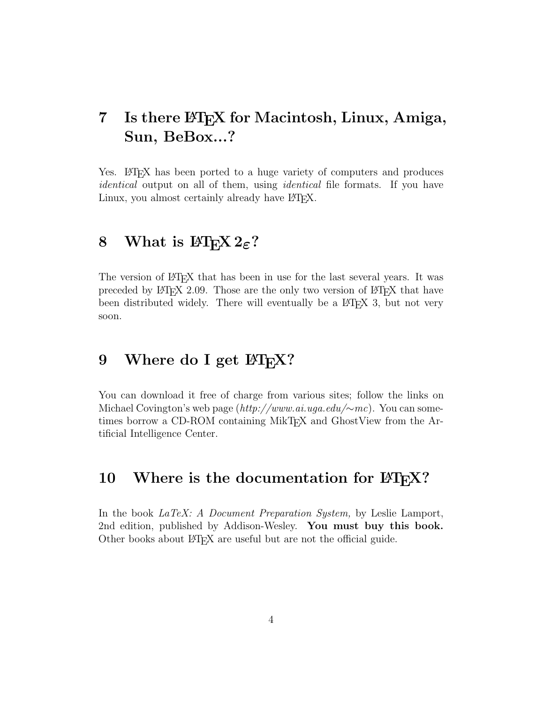## **7 Is there LATEX for Macintosh, Linux, Amiga, Sun, BeBox...?**

Yes. LAT<sub>EX</sub> has been ported to a huge variety of computers and produces identical output on all of them, using *identical* file formats. If you have Linux, you almost certainly already have LHFX.

### **8** What is  $\text{BTr} X 2_{\varepsilon}$ ?

The version of LAT<sub>EX</sub> that has been in use for the last several years. It was preceded by  $\Delta T_{\rm F}X$  2.09. Those are the only two version of  $\Delta T_{\rm F}X$  that have been distributed widely. There will eventually be a LATEX 3, but not very soon.

### 9 Where do I get  $\text{MT}_F X$ ?

You can download it free of charge from various sites; follow the links on Michael Covington's web page (http://www.ai.uga.edu/∼mc). You can sometimes borrow a CD-ROM containing MikTEX and GhostView from the Artificial Intelligence Center.

#### **10** Where is the documentation for  $\text{ETr}X$ ?

In the book LaTeX: A Document Preparation System, by Leslie Lamport, 2nd edition, published by Addison-Wesley. **You must buy this book.** Other books about LATEX are useful but are not the official guide.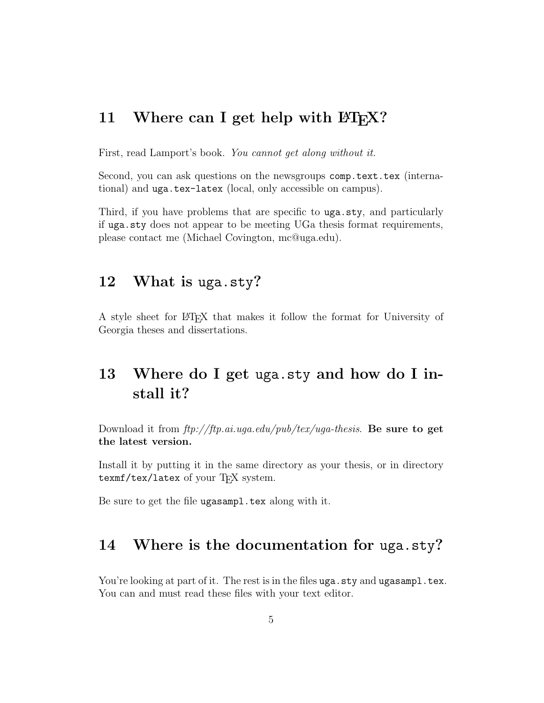#### **11** Where can I get help with  $\text{ETr}X$ ?

First, read Lamport's book. You cannot get along without it.

Second, you can ask questions on the newsgroups comp.text.tex (international) and uga.tex-latex (local, only accessible on campus).

Third, if you have problems that are specific to uga.sty, and particularly if uga.sty does not appear to be meeting UGa thesis format requirements, please contact me (Michael Covington, mc@uga.edu).

#### **12 What is** uga.sty**?**

A style sheet for LATEX that makes it follow the format for University of Georgia theses and dissertations.

## **13 Where do I get** uga.sty **and how do I install it?**

Download it from ftp://ftp.ai.uga.edu/pub/tex/uga-thesis. **Be sure to get the latest version.**

Install it by putting it in the same directory as your thesis, or in directory texmf/tex/latex of your TEX system.

Be sure to get the file ugasampl.tex along with it.

#### **14 Where is the documentation for** uga.sty**?**

You're looking at part of it. The rest is in the files uga.sty and ugas ampl.tex. You can and must read these files with your text editor.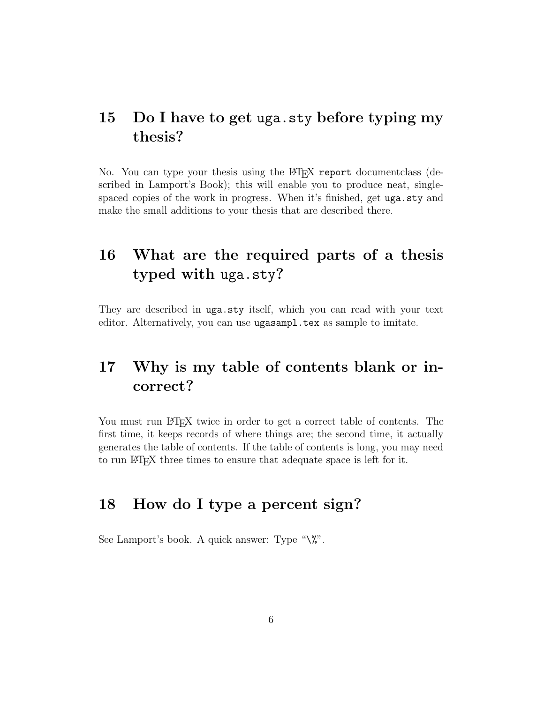## **15 Do I have to get** uga.sty **before typing my thesis?**

No. You can type your thesis using the LAT<sub>EX</sub> report document class (described in Lamport's Book); this will enable you to produce neat, singlespaced copies of the work in progress. When it's finished, get uga.sty and make the small additions to your thesis that are described there.

## **16 What are the required parts of a thesis typed with** uga.sty**?**

They are described in uga.sty itself, which you can read with your text editor. Alternatively, you can use ugasampl.tex as sample to imitate.

## **17 Why is my table of contents blank or incorrect?**

You must run LATEX twice in order to get a correct table of contents. The first time, it keeps records of where things are; the second time, it actually generates the table of contents. If the table of contents is long, you may need to run LATEX three times to ensure that adequate space is left for it.

## **18 How do I type a percent sign?**

See Lamport's book. A quick answer: Type " $\aleph$ ".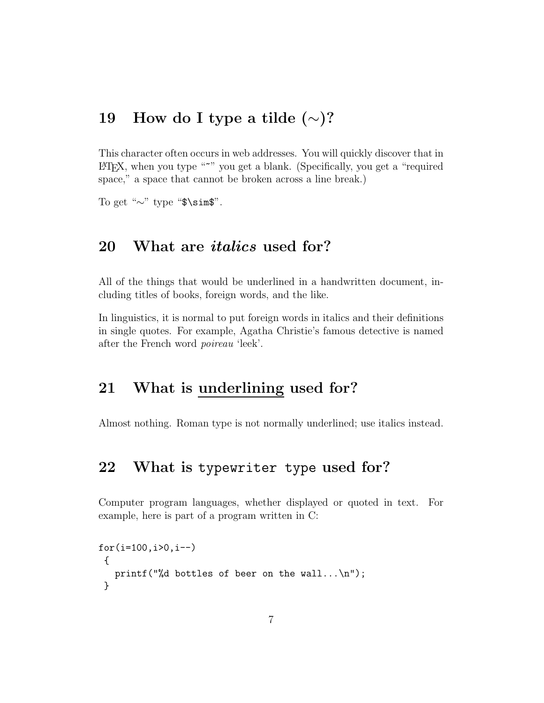## **19 How do I type a tilde (**∼**)?**

This character often occurs in web addresses. You will quickly discover that in LATEX, when you type "~" you get a blank. (Specifically, you get a "required space," a space that cannot be broken across a line break.)

To get "∼" type "\$\sim\$".

### **20 What are** *italics* **used for?**

All of the things that would be underlined in a handwritten document, including titles of books, foreign words, and the like.

In linguistics, it is normal to put foreign words in italics and their definitions in single quotes. For example, Agatha Christie's famous detective is named after the French word poireau 'leek'.

#### **21 What is underlining used for?**

Almost nothing. Roman type is not normally underlined; use italics instead.

#### **22 What is** typewriter type **used for?**

Computer program languages, whether displayed or quoted in text. For example, here is part of a program written in C:

```
for(i=100, i>0, i--){
 printf("%d bottles of beer on the wall...\n");
}
```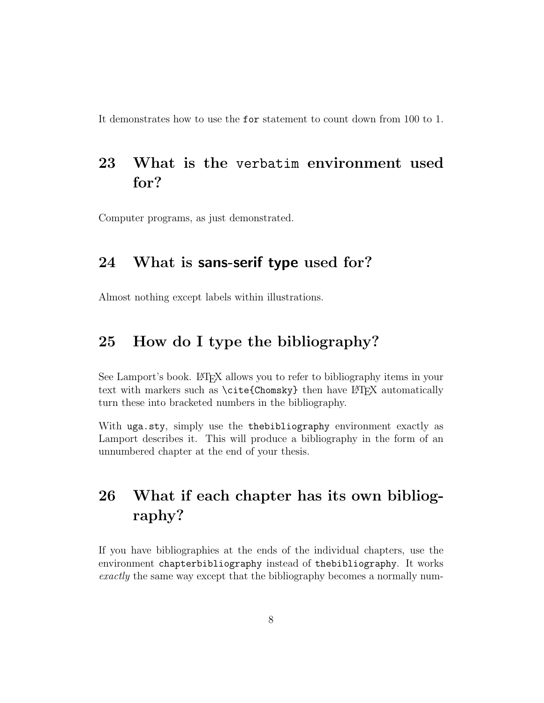It demonstrates how to use the for statement to count down from 100 to 1.

## **23 What is the** verbatim **environment used for?**

Computer programs, as just demonstrated.

#### **24 What is sans-serif type used for?**

Almost nothing except labels within illustrations.

## **25 How do I type the bibliography?**

See Lamport's book. LAT<sub>EX</sub> allows you to refer to bibliography items in your text with markers such as  $\c{cte{Chomsky}}$  then have LATEX automatically turn these into bracketed numbers in the bibliography.

With uga.sty, simply use the the bibliography environment exactly as Lamport describes it. This will produce a bibliography in the form of an unnumbered chapter at the end of your thesis.

## **26 What if each chapter has its own bibliography?**

If you have bibliographies at the ends of the individual chapters, use the environment chapterbibliography instead of thebibliography. It works exactly the same way except that the bibliography becomes a normally num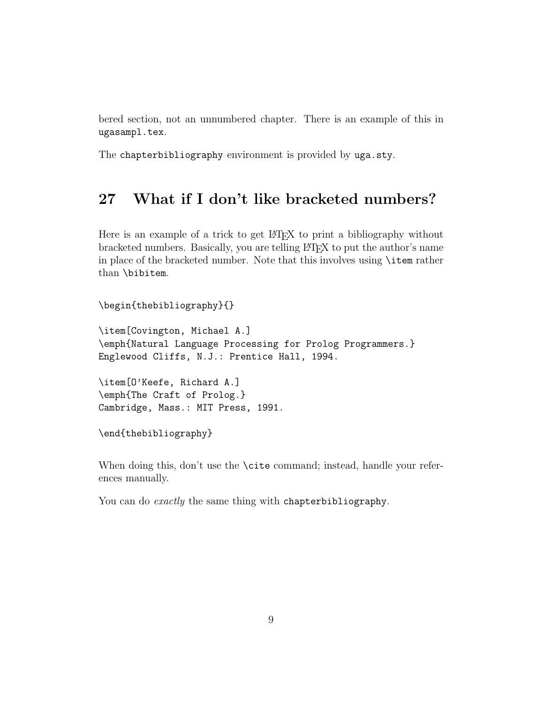bered section, not an unnumbered chapter. There is an example of this in ugasampl.tex.

The chapterbibliography environment is provided by uga.sty.

### **27 What if I don't like bracketed numbers?**

Here is an example of a trick to get LAT<sub>EX</sub> to print a bibliography without bracketed numbers. Basically, you are telling LATEX to put the author's name in place of the bracketed number. Note that this involves using \item rather than \bibitem.

\begin{thebibliography}{} \item[Covington, Michael A.] \emph{Natural Language Processing for Prolog Programmers.} Englewood Cliffs, N.J.: Prentice Hall, 1994. \item[O'Keefe, Richard A.] \emph{The Craft of Prolog.} Cambridge, Mass.: MIT Press, 1991. \end{thebibliography}

When doing this, don't use the **\cite** command; instead, handle your references manually.

You can do *exactly* the same thing with chapterbibliography.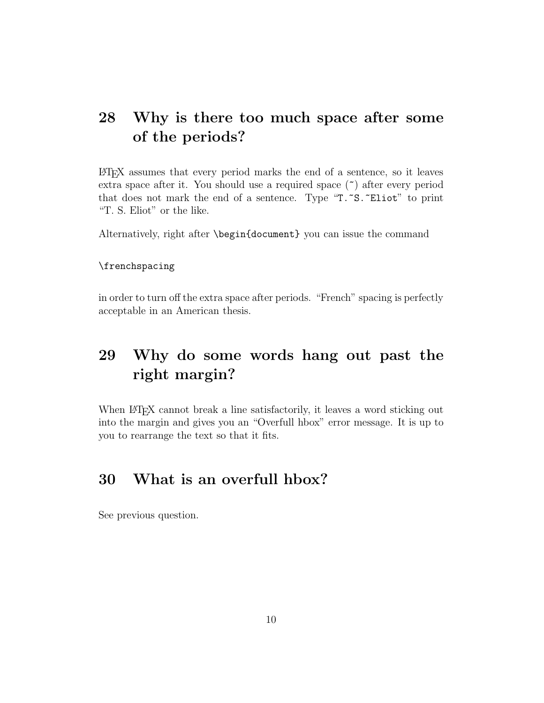## **28 Why is there too much space after some of the periods?**

LATEX assumes that every period marks the end of a sentence, so it leaves extra space after it. You should use a required space (~) after every period that does not mark the end of a sentence. Type "T."S."Eliot" to print "T. S. Eliot" or the like.

Alternatively, right after \begin{document} you can issue the command

#### \frenchspacing

in order to turn off the extra space after periods. "French" spacing is perfectly acceptable in an American thesis.

## **29 Why do some words hang out past the right margin?**

When LATEX cannot break a line satisfactorily, it leaves a word sticking out into the margin and gives you an "Overfull hbox" error message. It is up to you to rearrange the text so that it fits.

## **30 What is an overfull hbox?**

See previous question.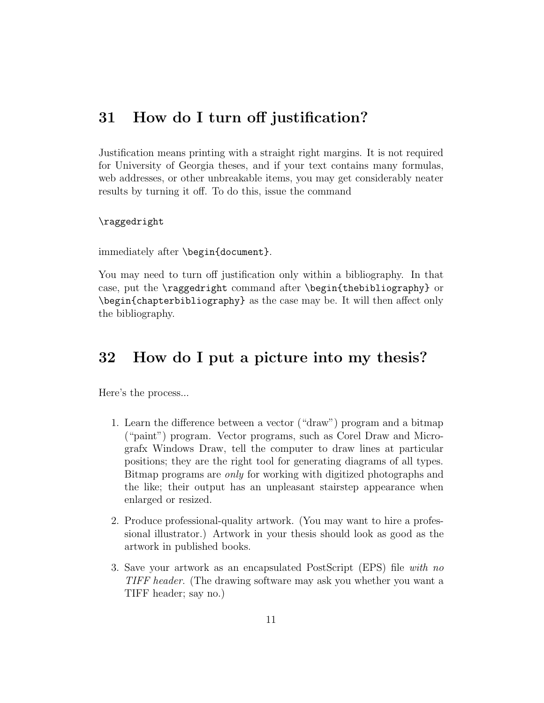### **31 How do I turn off justification?**

Justification means printing with a straight right margins. It is not required for University of Georgia theses, and if your text contains many formulas, web addresses, or other unbreakable items, you may get considerably neater results by turning it off. To do this, issue the command

#### \raggedright

immediately after \begin{document}.

You may need to turn off justification only within a bibliography. In that case, put the \raggedright command after \begin{thebibliography} or \begin{chapterbibliography} as the case may be. It will then affect only the bibliography.

## **32 How do I put a picture into my thesis?**

Here's the process...

- 1. Learn the difference between a vector ("draw") program and a bitmap ("paint") program. Vector programs, such as Corel Draw and Micrografx Windows Draw, tell the computer to draw lines at particular positions; they are the right tool for generating diagrams of all types. Bitmap programs are only for working with digitized photographs and the like; their output has an unpleasant stairstep appearance when enlarged or resized.
- 2. Produce professional-quality artwork. (You may want to hire a professional illustrator.) Artwork in your thesis should look as good as the artwork in published books.
- 3. Save your artwork as an encapsulated PostScript (EPS) file with no TIFF header. (The drawing software may ask you whether you want a TIFF header; say no.)